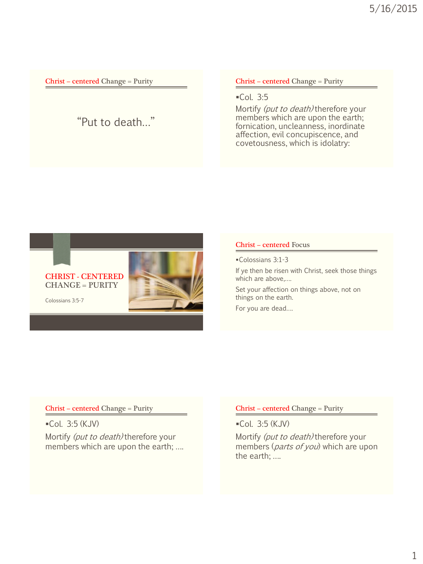# "Put to death…"

Christ – centered Change = Purity

 $-$ Col. 3:5

Mortify (put to death) therefore your members which are upon the earth; fornication, uncleanness, inordinate affection, evil concupiscence, and covetousness, which is idolatry:



#### Christ – centered Focus

Colossians 3:1-3

If ye then be risen with Christ, seek those things which are above,….

Set your affection on things above, not on things on the earth.

For you are dead….

#### Christ – centered Change = Purity

Col. 3:5 (KJV) Mortify (put to death) therefore your members which are upon the earth; ….

#### Christ – centered Change = Purity

Col. 3:5 (KJV)

Mortify (put to death) therefore your members (*parts of you*) which are upon the earth; ….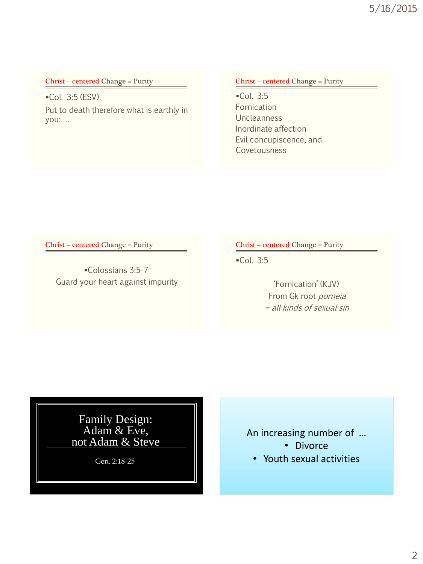Col. 3:5 (ESV) Put to death therefore what is earthly in you: …

### Christ – centered Change = Purity

 $-$ Col. 3:5 Fornication **Uncleanness** Inordinate affection Evil concupiscence, and Covetousness

Christ – centered Change = Purity

Colossians 3:5-7 Guard your heart against impurity Christ – centered Change = Purity

Col. 3:5

'Fornication' (KJV) From Gk root porneia = all kinds of sexual sin

Family Design: Adam & Eve, not Adam & Steve

Gen. 2:18-25

# An increasing number of …

- Divorce
- Youth sexual activities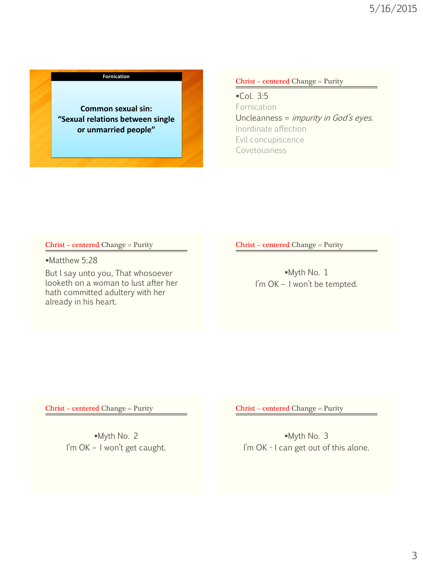#### **Fornication**

**Common sexual sin: "Sexual relations between single or unmarried people"** 

#### Christ – centered Change = Purity

Col. 3:5 **Fornication** Uncleanness = impurity in God's eyes. Inordinate affection Evil concupiscence Covetousness

#### Christ – centered Change = Purity

Matthew 5:28

But I say unto you, That whosoever looketh on a woman to lust after her hath committed adultery with her already in his heart.

Christ – centered Change = Purity

Myth No. 1 I'm OK - I won't be tempted.

Christ – centered Change = Purity

Myth No. 2 I'm OK – I won't get caught. Christ – centered Change = Purity

Myth No. 3 I'm OK - I can get out of this alone.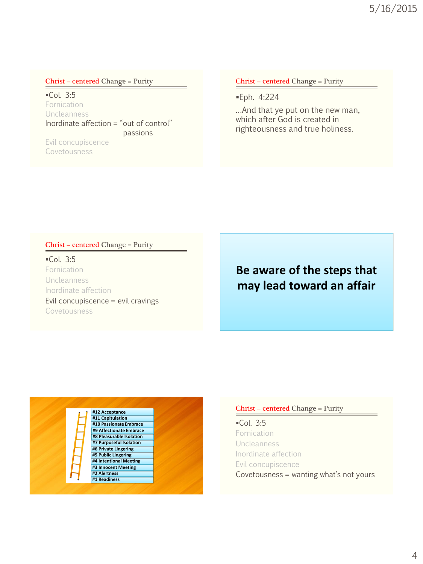Col. 3:5 Fornication Uncleanness Inordinate affection = "out of control" passions

Evil concupiscence Covetousness

Christ – centered Change = Purity

Eph. 4:224

…And that ye put on the new man, which after God is created in righteousness and true holiness.

#### Christ – centered Change = Purity

 $-$ Col. 3:5 Fornication Uncleanness Inordinate affection Evil concupiscence = evil cravings Covetousness

# **Be aware of the steps that may lead toward an affair**

**#1 Readiness #2 Alertness #3 Innocent Meeting #4 Intentional Meeting #5 Public Lingering #6 Private Lingering #7 Purposeful Isolation #8 Pleasurable Isolation #9 Affectionate Embrace #10 Passionate Embrace #11 Capitulation**

#### **Christ – centered Change = Purity**

 $-$ Col. 3:5 Fornication Uncleanness Inordinate affection Evil concupiscence Covetousness = wanting what's not yours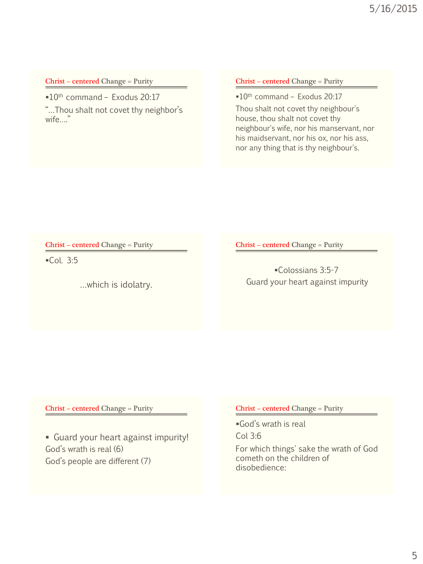$10<sup>th</sup>$  command – Exodus 20:17

"…Thou shalt not covet thy neighbor's wife…."

#### Christ – centered Change = Purity

 $10<sup>th</sup>$  command – Exodus 20:17

Thou shalt not covet thy neighbour's house, thou shalt not covet thy neighbour's wife, nor his manservant, nor his maidservant, nor his ox, nor his ass, nor any thing that is thy neighbour's.

Christ – centered Change = Purity

 $\subset$  Col. 3:5

…which is idolatry.

Christ – centered Change = Purity

Colossians 3:5-7 Guard your heart against impurity

Christ – centered Change = Purity

 Guard your heart against impurity! God's wrath is real (6) God's people are different (7)

Christ – centered Change = Purity

God's wrath is real Col 3:6

For which things' sake the wrath of God cometh on the children of disobedience: